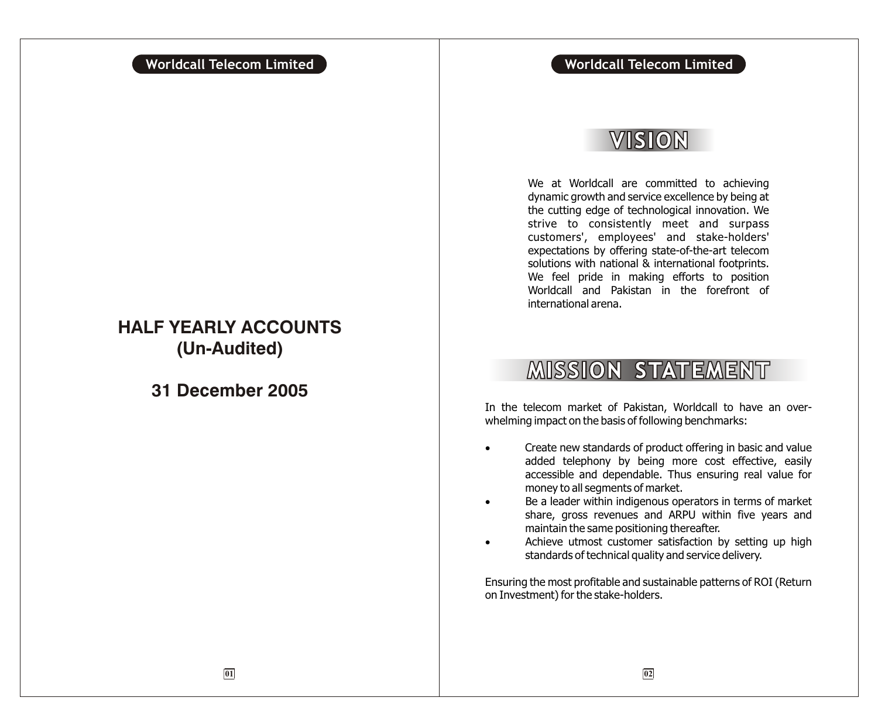# **Worldcall Telecom Limited Worldcall Telecom Limited**

# VISION

We at Worldcall are committed to achieving dynamic growth and service excellence by being at the cutting edge of technological innovation. We strive to consistently meet and surpass customers', employees' and stake-holders' expectations by offering state-of-the-art telecom solutions with national & international footprints. We feel pride in making efforts to position Worldcall and Pakistan in the forefront of international arena.

# **MISSION STATEMENT**

In the telecom market of Pakistan, Worldcall to have an overwhelming impact on the basis of following benchmarks:

> Create new standards of product offering in basic and value added telephony by being more cost effective, easily accessible and dependable. Thus ensuring real value for money to all segments of market.

> Be a leader within indigenous operators in terms of market share, gross revenues and ARPU within five years and maintain the same positioning thereafter.

> Achieve utmost customer satisfaction by setting up high standards of technical quality and service delivery.

Ensuring the most profitable and sustainable patterns of ROI (Return on Investment) for the stake-holders.

# **HALF YEARLY ACCOUNTS (Un-Audited)**

**31 December 2005**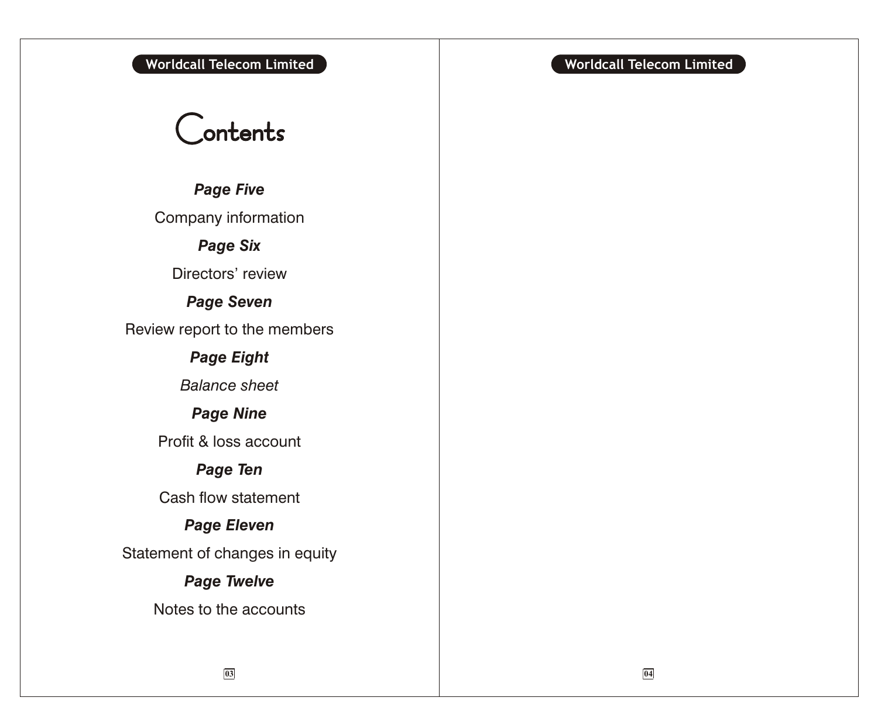# **Worldcall Telecom Limited Worldcall Telecom Limited**

# Contents

*Page Five*

Company information

*Page Six*

Directors' review

*Page Seven*

Review report to the members

# *Page Eight*

*Balance sheet*

# *Page Nine*

Profit & loss account

# *Page Ten*

Cash flow statement

# *Page Eleven*

Statement of changes in equity

# *Page Twelve*

Notes to the accounts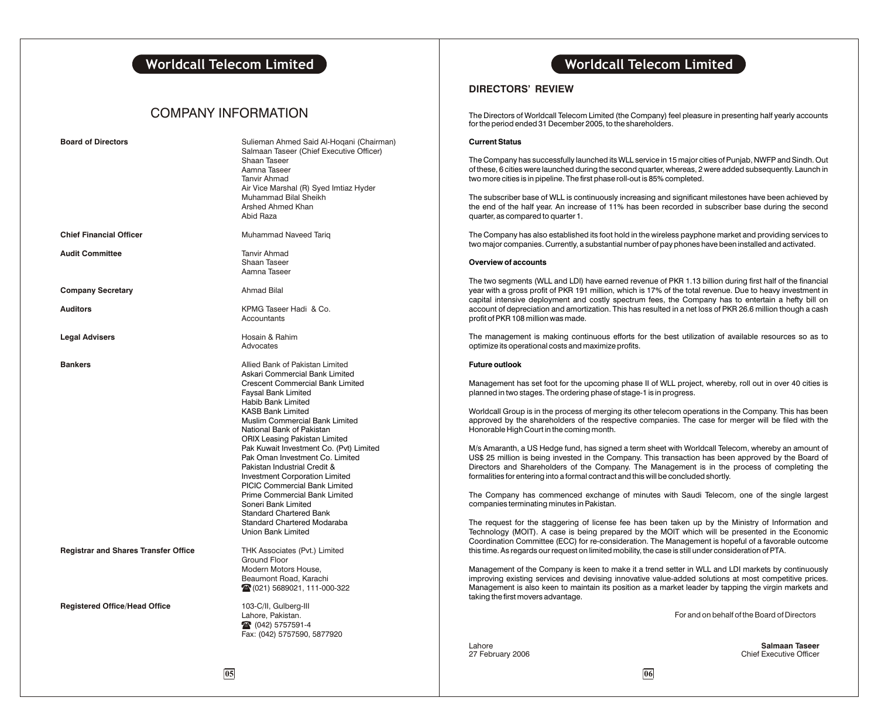### COMPANY INFORMATION

| <b>Board of Directors</b>                   | Sulieman Ahmed Said Al-Hoqani (Chairman)<br>Salmaan Taseer (Chief Executive Officer)<br>Shaan Taseer<br>Aamna Taseer<br><b>Tanvir Ahmad</b><br>Air Vice Marshal (R) Syed Imtiaz Hyder<br>Muhammad Bilal Sheikh<br>Arshed Ahmed Khan<br>Abid Raza                                                                                                                                                                                                                                                                                                                                                                                           |
|---------------------------------------------|--------------------------------------------------------------------------------------------------------------------------------------------------------------------------------------------------------------------------------------------------------------------------------------------------------------------------------------------------------------------------------------------------------------------------------------------------------------------------------------------------------------------------------------------------------------------------------------------------------------------------------------------|
| <b>Chief Financial Officer</b>              | Muhammad Naveed Tariq                                                                                                                                                                                                                                                                                                                                                                                                                                                                                                                                                                                                                      |
| <b>Audit Committee</b>                      | <b>Tanvir Ahmad</b><br>Shaan Taseer<br>Aamna Taseer                                                                                                                                                                                                                                                                                                                                                                                                                                                                                                                                                                                        |
| <b>Company Secretary</b>                    | <b>Ahmad Bilal</b>                                                                                                                                                                                                                                                                                                                                                                                                                                                                                                                                                                                                                         |
| <b>Auditors</b>                             | KPMG Taseer Hadi & Co.<br>Accountants                                                                                                                                                                                                                                                                                                                                                                                                                                                                                                                                                                                                      |
| <b>Legal Advisers</b>                       | Hosain & Rahim<br>Advocates                                                                                                                                                                                                                                                                                                                                                                                                                                                                                                                                                                                                                |
| <b>Bankers</b>                              | Allied Bank of Pakistan Limited<br>Askari Commercial Bank Limited<br>Crescent Commercial Bank Limited<br>Faysal Bank Limited<br><b>Habib Bank Limited</b><br><b>KASB Bank Limited</b><br>Muslim Commercial Bank Limited<br>National Bank of Pakistan<br><b>ORIX Leasing Pakistan Limited</b><br>Pak Kuwait Investment Co. (Pvt) Limited<br>Pak Oman Investment Co. Limited<br>Pakistan Industrial Credit &<br><b>Investment Corporation Limited</b><br><b>PICIC Commercial Bank Limited</b><br>Prime Commercial Bank Limited<br>Soneri Bank Limited<br><b>Standard Chartered Bank</b><br>Standard Chartered Modaraba<br>Union Bank Limited |
| <b>Registrar and Shares Transfer Office</b> | THK Associates (Pvt.) Limited<br>Ground Floor<br>Modern Motors House.<br>Beaumont Road, Karachi<br>28 (021) 5689021, 111-000-322                                                                                                                                                                                                                                                                                                                                                                                                                                                                                                           |
| <b>Registered Office/Head Office</b>        | 103-C/II, Gulberg-III<br>Lahore, Pakistan.<br>28 (042) 5757591-4<br>Fax: (042) 5757590, 5877920                                                                                                                                                                                                                                                                                                                                                                                                                                                                                                                                            |

# **Worldcall Telecom Limited Worldcall Telecom Limited**

### **DIRECTORS' REVIEW**

The Directors of Worldcall Telecom Limited (the Company) feel pleasure in presenting half yearly accounts for the period ended 31 December 2005, to the shareholders.

### **Current Status**

The Company has successfully launched its WLL service in 15 major cities of Punjab, NWFP and Sindh. Out of these, 6 cities were launched during the second quarter, whereas, 2 were added subsequently. Launch in two more cities is in pipeline. The first phase roll-out is 85% completed.

The subscriber base of WLL is continuously increasing and significant milestones have been achieved by the end of the half year. An increase of 11% has been recorded in subscriber base during the second quarter, as compared to quarter 1.

The Company has also established its foot hold in the wireless payphone market and providing services to two major companies. Currently, a substantial number of pay phones have been installed and activated.

### **Overview of accounts**

The two segments (WLL and LDI) have earned revenue of PKR 1.13 billion during first half of the financial year with a gross profit of PKR 191 million, which is 17% of the total revenue. Due to heavy investment in capital intensive deployment and costly spectrum fees, the Company has to entertain a hefty bill on account of depreciation and amortization. This has resulted in a net loss of PKR 26.6 million though a cash profit of PKR 108 million was made.

The management is making continuous efforts for the best utilization of available resources so as to optimize its operational costs and maximize profits.

### **Future outlook**

Management has set foot for the upcoming phase II of WLL project, whereby, roll out in over 40 cities is planned in two stages. The ordering phase of stage-1 is in progress.

Worldcall Group is in the process of merging its other telecom operations in the Company. This has been approved by the shareholders of the respective companies. The case for merger will be filed with the Honorable High Court in the coming month.

M/s Amaranth, a US Hedge fund, has signed a term sheet with Worldcall Telecom, whereby an amount of US\$ 25 million is being invested in the Company. This transaction has been approved by the Board of Directors and Shareholders of the Company. The Management is in the process of completing the formalities for entering into a formal contract and this will be concluded shortly.

The Company has commenced exchange of minutes with Saudi Telecom, one of the single largest companies terminating minutes in Pakistan.

The request for the staggering of license fee has been taken up by the Ministry of Information and Technology (MOIT). A case is being prepared by the MOIT which will be presented in the Economic Coordination Committee (ECC) for re-consideration. The Management is hopeful of a favorable outcome this time. As regards our request on limited mobility, the case is still under consideration of PTA.

Management of the Company is keen to make it a trend setter in WLL and LDI markets by continuously improving existing services and devising innovative value-added solutions at most competitive prices. Management is also keen to maintain its position as a market leader by tapping the virgin markets and taking the first movers advantage.

For and on behalf of the Board of Directors

Lahore **Salmaan Taseer Chief Executive Officer**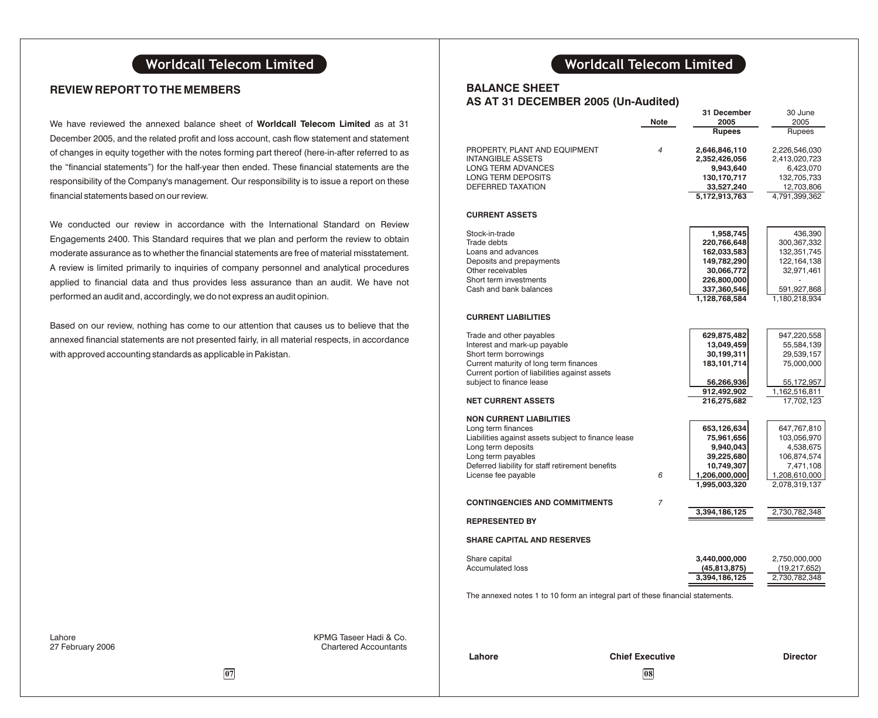### **REVIEW REPORT TO THE MEMBERS**

We have reviewed the annexed balance sheet of **Worldcall Telecom Limited** as at 31 December 2005, and the related profit and loss account, cash flow statement and statement of changes in equity together with the notes forming part thereof (here-in-after referred to as the "financial statements") for the half-year then ended. These financial statements are the responsibility of the Company's management. Our responsibility is to issue a report on these financial statements based on our review.

We conducted our review in accordance with the International Standard on Review Engagements 2400. This Standard requires that we plan and perform the review to obtain moderate assurance as to whether the financial statements are free of material misstatement. A review is limited primarily to inquiries of company personnel and analytical procedures applied to financial data and thus provides less assurance than an audit. We have not performed an audit and, accordingly, we do not express an audit opinion.

Based on our review, nothing has come to our attention that causes us to believe that the annexed financial statements are not presented fairly, in all material respects, in accordance with approved accounting standards as applicable in Pakistan.

# **Worldcall Telecom Limited Worldcall Telecom Limited**

### **BALANCE SHEET AS AT 31 DECEMBER 2005 (Un-Audited)**

|                                                                                                                                                                                                                                                                                                                                                                                                                                                                             | Note | 31 December<br>2005<br><b>Rupees</b>                                                                                                                                                                       | 30 June<br>2005<br>Rupees                                                                                                                                                                                   |
|-----------------------------------------------------------------------------------------------------------------------------------------------------------------------------------------------------------------------------------------------------------------------------------------------------------------------------------------------------------------------------------------------------------------------------------------------------------------------------|------|------------------------------------------------------------------------------------------------------------------------------------------------------------------------------------------------------------|-------------------------------------------------------------------------------------------------------------------------------------------------------------------------------------------------------------|
| PROPERTY, PLANT AND EQUIPMENT<br><b>INTANGIBLE ASSETS</b><br>LONG TERM ADVANCES<br>LONG TERM DEPOSITS<br>DEFERRED TAXATION                                                                                                                                                                                                                                                                                                                                                  | 4    | 2,646,846,110<br>2,352,426,056<br>9,943,640<br>130,170,717<br>33,527,240<br>5,172,913,763                                                                                                                  | 2,226,546,030<br>2,413,020,723<br>6,423,070<br>132,705,733<br>12,703,806<br>4,791,399,362                                                                                                                   |
| <b>CURRENT ASSETS</b>                                                                                                                                                                                                                                                                                                                                                                                                                                                       |      |                                                                                                                                                                                                            |                                                                                                                                                                                                             |
| Stock-in-trade<br>Trade debts<br>Loans and advances<br>Deposits and prepayments<br>Other receivables<br>Short term investments<br>Cash and bank balances                                                                                                                                                                                                                                                                                                                    |      | 1,958,745<br>220,766,648<br>162,033,583<br>149,782,290<br>30,066,772<br>226,800,000<br>337,360,546<br>1,128,768,584                                                                                        | 436,390<br>300,367,332<br>132,351,745<br>122, 164, 138<br>32,971,461<br>591,927,868<br>1,180,218,934                                                                                                        |
| <b>CURRENT LIABILITIES</b>                                                                                                                                                                                                                                                                                                                                                                                                                                                  |      |                                                                                                                                                                                                            |                                                                                                                                                                                                             |
| Trade and other payables<br>Interest and mark-up payable<br>Short term borrowings<br>Current maturity of long term finances<br>Current portion of liabilities against assets<br>subject to finance lease<br><b>NET CURRENT ASSETS</b><br><b>NON CURRENT LIABILITIES</b><br>Long term finances<br>Liabilities against assets subject to finance lease<br>Long term deposits<br>Long term payables<br>Deferred liability for staff retirement benefits<br>License fee payable | 6    | 629,875,482<br>13,049,459<br>30,199,311<br>183,101,714<br>56,266,936<br>912,492,902<br>216,275,682<br>653,126,634<br>75,961,656<br>9,940,043<br>39,225,680<br>10,749,307<br>1,206,000,000<br>1,995,003,320 | 947,220,558<br>55,584,139<br>29,539,157<br>75,000,000<br>55,172,957<br>1,162,516,811<br>17,702,123<br>647,767,810<br>103,056,970<br>4,538,675<br>106,874,574<br>7,471,108<br>1,208,610,000<br>2,078,319,137 |
| <b>CONTINGENCIES AND COMMITMENTS</b>                                                                                                                                                                                                                                                                                                                                                                                                                                        | 7    |                                                                                                                                                                                                            |                                                                                                                                                                                                             |
| <b>REPRESENTED BY</b>                                                                                                                                                                                                                                                                                                                                                                                                                                                       |      | 3,394,186,125                                                                                                                                                                                              | 2,730,782,348                                                                                                                                                                                               |
| <b>SHARE CAPITAL AND RESERVES</b>                                                                                                                                                                                                                                                                                                                                                                                                                                           |      |                                                                                                                                                                                                            |                                                                                                                                                                                                             |
| Share capital<br><b>Accumulated loss</b>                                                                                                                                                                                                                                                                                                                                                                                                                                    |      | 3,440,000,000<br>(45, 813, 875)<br>3,394,186,125                                                                                                                                                           | 2,750,000,000<br>(19,217,652)<br>2,730,782,348                                                                                                                                                              |
| The annexed notes 1 to 10 form an integral part of these financial statements.                                                                                                                                                                                                                                                                                                                                                                                              |      |                                                                                                                                                                                                            |                                                                                                                                                                                                             |

Lahore **KPMG Taseer Hadi & Co.**<br>27 February 2006 **1996 12:38 Task Contains Accountants** 

**Lahore Chief Executive Director**

### **07 07 08**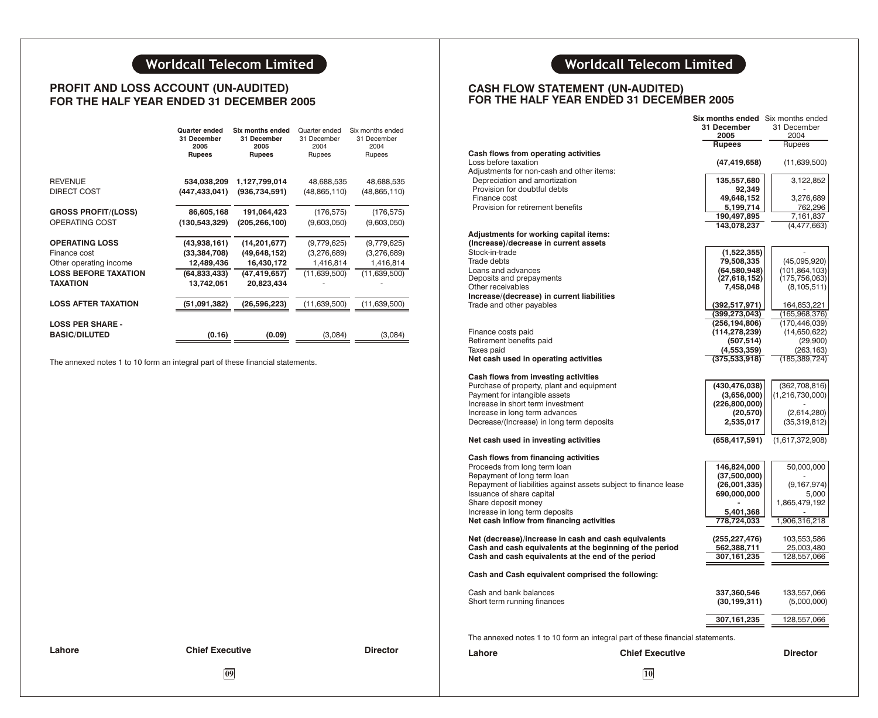# **Worldcall Telecom Limited Worldcall Telecom Limited**

### **PROFIT AND LOSS ACCOUNT (UN-AUDITED) FOR THE HALF YEAR ENDED 31 DECEMBER 2005**

|                                                                                                            | Quarter ended<br>31 December<br>2005<br><b>Rupees</b>                      | Six months ended<br>31 December<br>2005<br><b>Rupees</b>                       | Quarter ended<br>31 December<br>2004<br>Rupees          | Six months ended<br>31 December<br>2004<br>Rupees       |
|------------------------------------------------------------------------------------------------------------|----------------------------------------------------------------------------|--------------------------------------------------------------------------------|---------------------------------------------------------|---------------------------------------------------------|
| <b>REVENUE</b><br><b>DIRECT COST</b>                                                                       | 534,038,209<br>(447,433,041)                                               | 1,127,799,014<br>(936, 734, 591)                                               | 48,688,535<br>(48, 865, 110)                            | 48,688,535<br>(48, 865, 110)                            |
| <b>GROSS PROFIT/(LOSS)</b>                                                                                 | 86,605,168                                                                 | 191,064,423                                                                    | (176, 575)                                              | (176, 575)                                              |
| OPERATING COST                                                                                             | (130, 543, 329)                                                            | (205, 266, 100)                                                                | (9,603,050)                                             | (9,603,050)                                             |
| <b>OPERATING LOSS</b><br>Finance cost<br>Other operating income<br><b>LOSS BEFORE TAXATION</b><br>TAXATION | (43,938,161)<br>(33, 384, 708)<br>12,489,436<br>(64,833,433)<br>13,742,051 | (14, 201, 677)<br>(49, 648, 152)<br>16,430,172<br>(47, 419, 657)<br>20,823,434 | (9,779,625)<br>(3,276,689)<br>1,416,814<br>(11,639,500) | (9,779,625)<br>(3,276,689)<br>1,416,814<br>(11,639,500) |
| <b>LOSS AFTER TAXATION</b>                                                                                 | (51,091,382)                                                               | (26,596,223)                                                                   | (11,639,500)                                            | (11,639,500)                                            |
| <b>LOSS PER SHARE -</b><br><b>BASIC/DILUTED</b>                                                            | (0.16)                                                                     | (0.09)                                                                         | (3,084)                                                 | (3,084)                                                 |

The annexed notes 1 to 10 form an integral part of these financial statements.

### **CASH FLOW STATEMENT (UN-AUDITED) FOR THE HALF YEAR ENDED 31 DECEMBER 2005**

|                                                                                |                        | Six months ended Six months ended |                    |
|--------------------------------------------------------------------------------|------------------------|-----------------------------------|--------------------|
|                                                                                |                        | 31 December                       | 31 December        |
|                                                                                |                        | 2005                              | 2004               |
|                                                                                |                        | <b>Rupees</b>                     | Rupees             |
| Cash flows from operating activities                                           |                        |                                   |                    |
| Loss before taxation                                                           |                        | (47, 419, 658)                    | (11,639,500)       |
| Adjustments for non-cash and other items:                                      |                        |                                   |                    |
| Depreciation and amortization                                                  |                        | 135,557,680                       | 3,122,852          |
| Provision for doubtful debts                                                   |                        | 92,349                            |                    |
| Finance cost                                                                   |                        | 49,648,152                        | 3,276,689          |
| Provision for retirement benefits                                              |                        | 5,199,714                         | 762,296            |
|                                                                                |                        | 190.497.895                       | 7,161,837          |
|                                                                                |                        | 143,078,237                       | (4, 477, 663)      |
| Adjustments for working capital items:                                         |                        |                                   |                    |
| (Increase)/decrease in current assets                                          |                        |                                   |                    |
| Stock-in-trade                                                                 |                        | (1,522,355)                       | ÷.                 |
| Trade debts                                                                    |                        | 79,508,335                        | (45,095,920)       |
| Loans and advances                                                             |                        | (64,580,948)                      | (101, 864, 103)    |
| Deposits and prepayments                                                       |                        | (27,618,152)                      | (175, 756, 063)    |
| Other receivables                                                              |                        | 7,458,048                         | (8, 105, 511)      |
| Increase/(decrease) in current liabilities                                     |                        |                                   |                    |
| Trade and other payables                                                       |                        | (392, 517, 971)                   | 164,853,221        |
|                                                                                |                        | (399,273,043)                     | (165,968,376)      |
|                                                                                |                        | (256, 194, 806)                   | (170, 446, 039)    |
| Finance costs paid                                                             |                        | (114,278,239)                     | (14,650,622)       |
| Retirement benefits paid                                                       |                        | (507, 514)                        | (29,900)           |
| Taxes paid                                                                     |                        | (4,553,359)                       | (263, 163)         |
| Net cash used in operating activities                                          |                        | (375, 533, 918)                   | (185, 389, 724)    |
|                                                                                |                        |                                   |                    |
| Cash flows from investing activities                                           |                        |                                   |                    |
| Purchase of property, plant and equipment                                      |                        | (430,476,038)                     | (362, 708, 816)    |
| Payment for intangible assets                                                  |                        | (3,656,000)                       | (1, 216, 730, 000) |
| Increase in short term investment                                              |                        | (226, 800, 000)                   |                    |
| Increase in long term advances                                                 |                        | (20, 570)                         | (2,614,280)        |
| Decrease/(Increase) in long term deposits                                      |                        | 2,535,017                         | (35,319,812)       |
|                                                                                |                        |                                   |                    |
| Net cash used in investing activities                                          |                        | (658, 417, 591)                   | (1,617,372,908)    |
|                                                                                |                        |                                   |                    |
| Cash flows from financing activities                                           |                        |                                   |                    |
| Proceeds from long term loan                                                   |                        | 146,824,000                       | 50,000,000         |
| Repayment of long term loan                                                    |                        | (37,500,000)                      |                    |
| Repayment of liabilities against assets subject to finance lease               |                        | (26,001,335)                      | (9, 167, 974)      |
| Issuance of share capital                                                      |                        | 690,000,000                       | 5,000              |
| Share deposit money                                                            |                        |                                   | 1,865,479,192      |
| Increase in long term deposits                                                 |                        | 5,401,368                         |                    |
| Net cash inflow from financing activities                                      |                        | 778,724,033                       | 1,906,316,218      |
|                                                                                |                        |                                   |                    |
| Net (decrease)/increase in cash and cash equivalents                           |                        | (255, 227, 476)                   | 103,553,586        |
| Cash and cash equivalents at the beginning of the period                       |                        | 562,388,711                       | 25,003,480         |
| Cash and cash equivalents at the end of the period                             |                        | 307, 161, 235                     | 128,557,066        |
|                                                                                |                        |                                   |                    |
| Cash and Cash equivalent comprised the following:                              |                        |                                   |                    |
| Cash and bank balances                                                         |                        | 337,360,546                       | 133,557,066        |
| Short term running finances                                                    |                        | (30, 199, 311)                    | (5,000,000)        |
|                                                                                |                        |                                   |                    |
|                                                                                |                        | 307,161,235                       | 128,557,066        |
|                                                                                |                        |                                   |                    |
| The annexed notes 1 to 10 form an integral part of these financial statements. |                        |                                   |                    |
|                                                                                |                        |                                   |                    |
| Lahore                                                                         | <b>Chief Executive</b> |                                   | <b>Director</b>    |
|                                                                                |                        |                                   |                    |

**Lahore Chief Executive Director**

**09 10**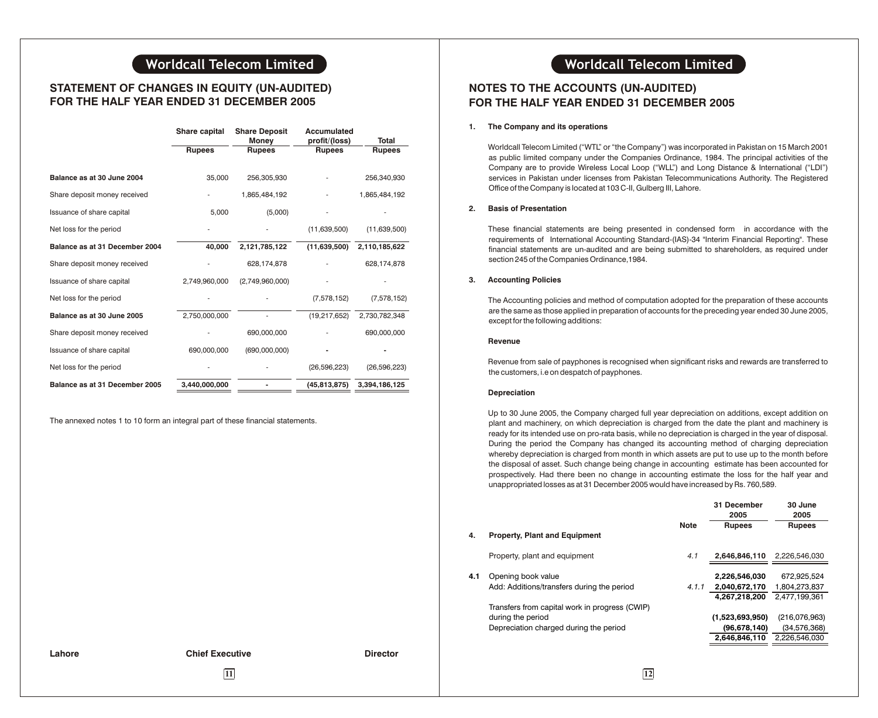### **STATEMENT OF CHANGES IN EQUITY (UN-AUDITED) FOR THE HALF YEAR ENDED 31 DECEMBER 2005**

|                                | Share capital | <b>Share Deposit</b> | Accumulated    |                |
|--------------------------------|---------------|----------------------|----------------|----------------|
|                                |               | <b>Money</b>         | profit/(loss)  | Total          |
|                                | <b>Rupees</b> | <b>Rupees</b>        | <b>Rupees</b>  | <b>Rupees</b>  |
|                                |               |                      |                |                |
| Balance as at 30 June 2004     | 35,000        | 256.305.930          |                | 256,340,930    |
| Share deposit money received   |               | 1,865,484,192        |                | 1,865,484,192  |
| Issuance of share capital      | 5,000         | (5,000)              |                |                |
| Net loss for the period        |               |                      | (11,639,500)   | (11,639,500)   |
| Balance as at 31 December 2004 | 40,000        | 2,121,785,122        | (11,639,500)   | 2,110,185,622  |
| Share deposit money received   |               | 628,174,878          |                | 628,174,878    |
| Issuance of share capital      | 2,749,960,000 | (2,749,960,000)      |                |                |
| Net loss for the period        |               |                      | (7,578,152)    | (7,578,152)    |
| Balance as at 30 June 2005     | 2,750,000,000 |                      | (19, 217, 652) | 2,730,782,348  |
| Share deposit money received   |               | 690,000,000          |                | 690,000,000    |
| Issuance of share capital      | 690,000,000   | (690,000,000)        |                |                |
| Net loss for the period        |               |                      | (26, 596, 223) | (26, 596, 223) |
| Balance as at 31 December 2005 | 3,440,000,000 |                      | (45, 813, 875) | 3,394,186,125  |

The annexed notes 1 to 10 form an integral part of these financial statements.

### **Lahore Chief Executive Director**

### **11 12**

# **Worldcall Telecom Limited Worldcall Telecom Limited**

### **NOTES TO THE ACCOUNTS (UN-AUDITED) FOR THE HALF YEAR ENDED 31 DECEMBER 2005**

### **1. The Company and its operations**

Worldcall Telecom Limited ("WTL" or "the Company") was incorporated in Pakistan on 15 March 2001 as public limited company under the Companies Ordinance, 1984. The principal activities of the Company are to provide Wireless Local Loop ("WLL") and Long Distance & International ("LDI") services in Pakistan under licenses from Pakistan Telecommunications Authority. The Registered Office of the Company is located at 103 C-II, Gulberg III, Lahore.

### **2. Basis of Presentation**

These financial statements are being presented in condensed form in accordance with the requirements of International Accounting Standard-(IAS)-34 "Interim Financial Reporting". These financial statements are un-audited and are being submitted to shareholders, as required under section 245 of the Companies Ordinance,1984.

### **3. Accounting Policies**

The Accounting policies and method of computation adopted for the preparation of these accounts are the same as those applied in preparation of accounts for the preceding year ended 30 June 2005, except for the following additions:

### **Revenue**

Revenue from sale of payphones is recognised when significant risks and rewards are transferred to the customers, i.e on despatch of payphones.

### **Depreciation**

Up to 30 June 2005, the Company charged full year depreciation on additions, except addition on plant and machinery, on which depreciation is charged from the date the plant and machinery is ready for its intended use on pro-rata basis, while no depreciation is charged in the year of disposal. During the period the Company has changed its accounting method of charging depreciation whereby depreciation is charged from month in which assets are put to use up to the month before the disposal of asset. Such change being change in accounting estimate has been accounted for prospectively. Had there been no change in accounting estimate the loss for the half year and unappropriated losses as at 31 December 2005 would have increased by Rs. 760,589.

|     |                                                |             | 31 December<br>2005 | 30 June<br>2005 |
|-----|------------------------------------------------|-------------|---------------------|-----------------|
|     |                                                | <b>Note</b> | <b>Rupees</b>       | <b>Rupees</b>   |
| 4.  | <b>Property, Plant and Equipment</b>           |             |                     |                 |
|     | Property, plant and equipment                  | 4.1         | 2.646.846.110       | 2.226.546.030   |
| 4.1 | Opening book value                             |             | 2,226,546,030       | 672.925.524     |
|     | Add: Additions/transfers during the period     | 4.1.1       | 2,040,672,170       | 1,804,273,837   |
|     |                                                |             | 4.267.218.200       | 2.477.199.361   |
|     | Transfers from capital work in progress (CWIP) |             |                     |                 |
|     | during the period                              |             | (1,523,693,950)     | (216,076,963)   |
|     | Depreciation charged during the period         |             | (96, 678, 140)      | (34, 576, 368)  |
|     |                                                |             | 2.646.846.110       | 2.226.546.030   |
|     |                                                |             |                     |                 |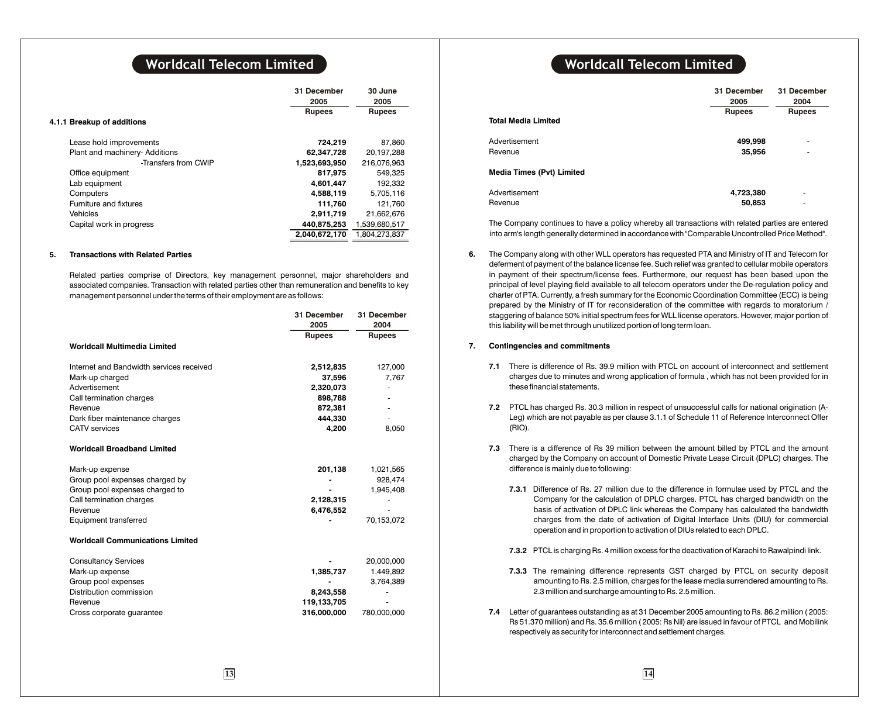|                            |                                | 31 December<br>2005<br><b>Rupees</b> | 30 June<br>2005<br><b>Rupees</b> |
|----------------------------|--------------------------------|--------------------------------------|----------------------------------|
| 4.1.1 Breakup of additions |                                |                                      |                                  |
| Lease hold improvements    |                                | 724,219                              | 87,860                           |
|                            | Plant and machinery- Additions | 62,347,728                           | 20,197,288                       |
|                            | -Transfers from CWIP           | 1,523,693,950                        | 216,076,963                      |
| Office equipment           |                                | 817.975                              | 549.325                          |
| Lab equipment              |                                | 4,601,447                            | 192,332                          |
| Computers                  |                                | 4,588,119                            | 5,705,116                        |
| Furniture and fixtures     |                                | 111.760                              | 121.760                          |
| Vehicles                   |                                | 2.911.719                            | 21,662,676                       |
| Capital work in progress   |                                | 440,875,253                          | 1,539,680,517                    |
|                            |                                | 2.040.672.170                        | 1.804.273.837                    |
|                            |                                |                                      |                                  |

### **5. Transactions with Related Parties**

Related parties comprise of Directors, key management personnel, major shareholders and associated companies. Transaction with related parties other than remuneration and benefits to key management personnel under the terms of their employment are as follows:

|                                          | 31 December<br>2005 | 31 December<br>2004 |
|------------------------------------------|---------------------|---------------------|
|                                          | <b>Rupees</b>       | <b>Rupees</b>       |
| <b>Worldcall Multimedia Limited</b>      |                     |                     |
| Internet and Bandwidth services received | 2,512,835           | 127,000             |
| Mark-up charged                          | 37,596              | 7,767               |
| Advertisement                            | 2,320,073           |                     |
| Call termination charges                 | 898,788             |                     |
| Revenue                                  | 872,381             |                     |
| Dark fiber maintenance charges           | 444.330             |                     |
| <b>CATV</b> services                     | 4,200               | 8,050               |
| <b>Worldcall Broadband Limited</b>       |                     |                     |
| Mark-up expense                          | 201,138             | 1,021,565           |
| Group pool expenses charged by           |                     | 928,474             |
| Group pool expenses charged to           |                     | 1,945,408           |
| Call termination charges                 | 2,128,315           |                     |
| Revenue                                  | 6,476,552           |                     |
| Equipment transferred                    |                     | 70,153,072          |
| <b>Worldcall Communications Limited</b>  |                     |                     |
| <b>Consultancy Services</b>              |                     | 20,000,000          |
| Mark-up expense                          | 1,385,737           | 1,449,892           |
| Group pool expenses                      |                     | 3,764,389           |
| Distribution commission                  | 8,243,558           |                     |
| Revenue                                  | 119,133,705         |                     |
| Cross corporate guarantee                | 316,000,000         | 780,000,000         |
|                                          |                     |                     |

## **Worldcall Telecom Limited Worldcall Telecom Limited**

| <b>Total Media Limited</b>       | 31 December<br>2005<br><b>Rupees</b> | 31 December<br>2004<br><b>Rupees</b> |
|----------------------------------|--------------------------------------|--------------------------------------|
| Advertisement                    | 499,998                              | ٠                                    |
| Revenue                          | 35,956                               | ٠                                    |
| <b>Media Times (Pvt) Limited</b> |                                      |                                      |
| Advertisement                    | 4,723,380                            | ٠                                    |
| Revenue                          | 50,853                               | ٠                                    |

The Company continues to have a policy whereby all transactions with related parties are entered into arm's length generally determined in accordance with "Comparable Uncontrolled Price Method".

**6.** The Company along with other WLL operators has requested PTA and Ministry of IT and Telecom for deferment of payment of the balance license fee. Such relief was granted to cellular mobile operators in payment of their spectrum/license fees. Furthermore, our request has been based upon the principal of level playing field available to all telecom operators under the De-regulation policy and charter of PTA. Currently, a fresh summary for the Economic Coordination Committee (ECC) is being prepared by the Ministry of IT for reconsideration of the committee with regards to moratorium / staggering of balance 50% initial spectrum fees for WLL license operators. However, major portion of this liability will be met through unutilized portion of long term loan.

### **7. Contingencies and commitments**

- **7.1** There is difference of Rs. 39.9 million with PTCL on account of interconnect and settlement charges due to minutes and wrong application of formula , which has not been provided for in these financial statements.
- **7.2** PTCL has charged Rs. 30.3 million in respect of unsuccessful calls for national origination (A-Leg) which are not payable as per clause 3.1.1 of Schedule 11 of Reference Interconnect Offer (RIO).
- **7.3** There is a difference of Rs 39 million between the amount billed by PTCL and the amount charged by the Company on account of Domestic Private Lease Circuit (DPLC) charges. The difference is mainly due to following:
	- **7.3.1** Difference of Rs. 27 million due to the difference in formulae used by PTCL and the Company for the calculation of DPLC charges. PTCL has charged bandwidth on the basis of activation of DPLC link whereas the Company has calculated the bandwidth charges from the date of activation of Digital Interface Units (DIU) for commercial operation and in proportion to activation of DIUs related to each DPLC.
	- **7.3.2** PTCL is charging Rs. 4 million excess for the deactivation of Karachi to Rawalpindi link.
	- **7.3.3** The remaining difference represents GST charged by PTCL on security deposit amounting to Rs. 2.5 million, charges for the lease media surrendered amounting to Rs. 2.3 million and surcharge amounting to Rs. 2.5 million.
- **7.4** Letter of guarantees outstanding as at 31 December 2005 amounting to Rs. 86.2 million ( 2005: Rs 51.370 million) and Rs. 35.6 million ( 2005: Rs Nil) are issued in favour of PTCL and Mobilink respectively as security for interconnect and settlement charges.